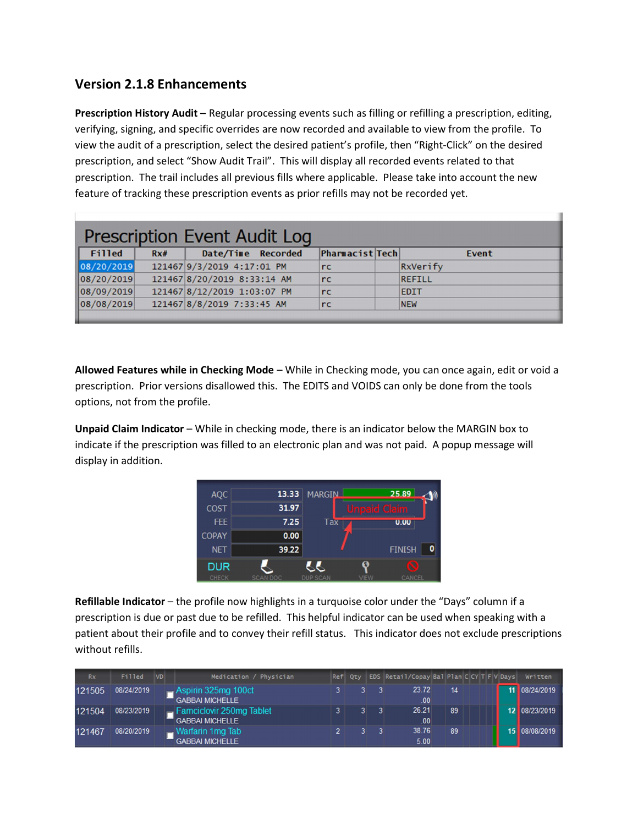## Version 2.1.8 Enhancements

Prescription History Audit – Regular processing events such as filling or refilling a prescription, editing, verifying, signing, and specific overrides are now recorded and available to view from the profile. To view the audit of a prescription, select the desired patient's profile, then "Right-Click" on the desired prescription, and select "Show Audit Trail". This will display all recorded events related to that prescription. The trail includes all previous fills where applicable. Please take into account the new feature of tracking these prescription events as prior refills may not be recorded yet.

| Prescription Event Audit Log |     |                             |  |                        |  |                 |  |
|------------------------------|-----|-----------------------------|--|------------------------|--|-----------------|--|
| Filled                       | Rx# | Date/Time Recorded          |  | <b>Pharmacist Tech</b> |  | Event           |  |
| 08/20/2019                   |     | 121467 9/3/2019 4:17:01 PM  |  | rc                     |  | <b>RxVerify</b> |  |
| 08/20/2019                   |     | 121467 8/20/2019 8:33:14 AM |  | rc                     |  | <b>REFILL</b>   |  |
| 08/09/2019                   |     | 121467 8/12/2019 1:03:07 PM |  | rc                     |  | <b>EDIT</b>     |  |
| 08/08/2019                   |     | 121467 8/8/2019 7:33:45 AM  |  | rc                     |  | <b>NEW</b>      |  |
|                              |     |                             |  |                        |  |                 |  |

Allowed Features while in Checking Mode - While in Checking mode, you can once again, edit or void a prescription. Prior versions disallowed this. The EDITS and VOIDS can only be done from the tools options, not from the profile.

Unpaid Claim Indicator – While in checking mode, there is an indicator below the MARGIN box to indicate if the prescription was filled to an electronic plan and was not paid. A popup message will display in addition.

| <b>AQC</b>   | 13.33           | <b>MARGIN</b>   |        | 25.89              |
|--------------|-----------------|-----------------|--------|--------------------|
| <b>COST</b>  | 31.97           |                 | Unpaid | Claim              |
| <b>FEE</b>   | 7.25            | Tax             |        | 0.00               |
| <b>COPAY</b> | 0.00            |                 |        |                    |
| <b>NET</b>   | 39.22           |                 |        | 0<br><b>FINISH</b> |
| <b>DUR</b>   |                 |                 |        | Ø                  |
| <b>CHECK</b> | <b>SCAN DOC</b> | <b>DUP SCAN</b> | VIEW   | <b>CANCEL</b>      |

Refillable Indicator – the profile now highlights in a turquoise color under the "Days" column if a prescription is due or past due to be refilled. This helpful indicator can be used when speaking with a patient about their profile and to convey their refill status. This indicator does not exclude prescriptions without refills.

| Rx     | Filled     | <b>VD</b> | Medication / Physician                             | Ref Qty | EDS Retail/Copay Bal Plan C CY T F V Days |    | Written       |
|--------|------------|-----------|----------------------------------------------------|---------|-------------------------------------------|----|---------------|
| 121505 | 08/24/2019 |           | Aspirin 325mg 100ct<br><b>GABBAI MICHELLE</b>      |         | 23.72<br>.00                              | 14 | 11 08/24/2019 |
| 121504 | 08/23/2019 |           | Famciclovir 250mg Tablet<br><b>GABBAI MICHELLE</b> |         | 26.21<br>.00.                             | 89 | 12 08/23/2019 |
| 121467 | 08/20/2019 |           | Warfarin 1mg Tab<br><b>GABBAI MICHELLE</b>         |         | 38.76<br>5.00                             | 89 | 15 08/08/2019 |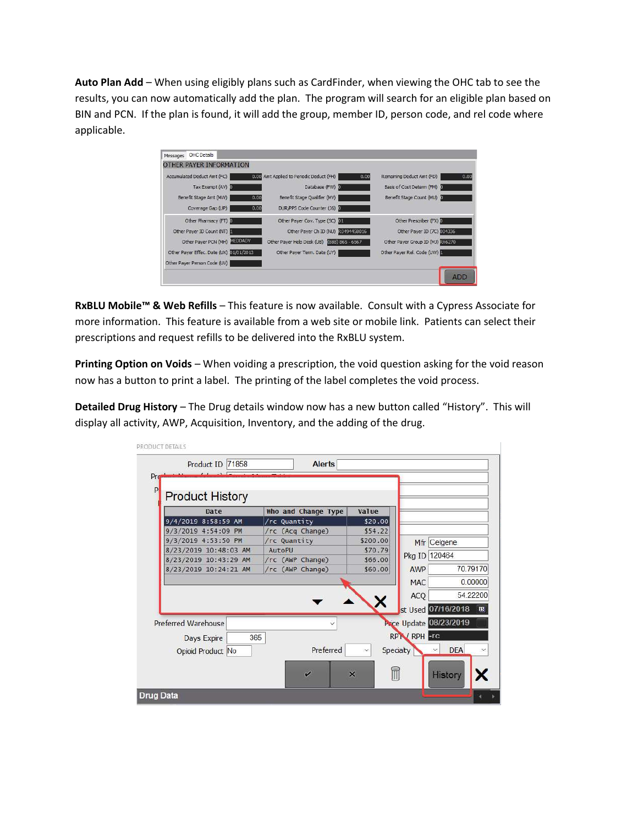Auto Plan Add – When using eligibly plans such as CardFinder, when viewing the OHC tab to see the results, you can now automatically add the plan. The program will search for an eligible plan based on BIN and PCN. If the plan is found, it will add the group, member ID, person code, and rel code where applicable.

| <b>0100</b> Amt Applied to Periodic Deduct (FH)<br>0.00                | 0.00<br>Remaining Deduct Amt (FD)  |
|------------------------------------------------------------------------|------------------------------------|
| Database (FW) D                                                        | Basis of Cost Determ (FM) 2        |
| Benefit Stage Qualifier (MV)<br>0.00                                   | Benefit Stage Count (MU)           |
| 0.00<br>DUR/PPS Code Counter (36)                                      |                                    |
| Other Payer Cov. Type (5C)                                             | Other Prescriber (FX)              |
| Other Payer Ch ID (NU) R0494458016                                     | Other Payer ID (7C) 004336         |
| Other Payer Help Desk (UB) (888) 865 - 6567                            | Other Payer Group ID (MJ) 33(6270) |
| Other Payer Effec. Date (UX) 01/01/2013<br>Other Payer Term. Date (UY) | Other Payer Rel. Code (UW)         |
|                                                                        |                                    |
|                                                                        |                                    |

RxBLU Mobile™ & Web Refills - This feature is now available. Consult with a Cypress Associate for more information. This feature is available from a web site or mobile link. Patients can select their prescriptions and request refills to be delivered into the RxBLU system.

Printing Option on Voids – When voiding a prescription, the void question asking for the void reason now has a button to print a label. The printing of the label completes the void process.

Detailed Drug History – The Drug details window now has a new button called "History". This will display all activity, AWP, Acquisition, Inventory, and the adding of the drug.

| PRODUCT DETAILS |                                                                |                          |                                             |                           |            |  |  |  |
|-----------------|----------------------------------------------------------------|--------------------------|---------------------------------------------|---------------------------|------------|--|--|--|
|                 | Product ID 71858                                               | <b>Alerts</b>            |                                             |                           |            |  |  |  |
| Pro             |                                                                |                          |                                             |                           |            |  |  |  |
| P               |                                                                |                          |                                             |                           |            |  |  |  |
|                 | <b>Product History</b>                                         |                          |                                             |                           |            |  |  |  |
|                 | Date                                                           | Who and Change Type      | Value                                       |                           |            |  |  |  |
|                 | 9/4/2019 8:58:59 AM                                            | /rc Quantity             | \$20.00                                     |                           |            |  |  |  |
|                 | 9/3/2019 4:54:09 PM                                            | /rc (Acq Change)         | \$54.22                                     |                           |            |  |  |  |
|                 | 9/3/2019 4:53:50 PM                                            | /rc Quantity             | \$200.00                                    | Mfr Celgene               |            |  |  |  |
|                 | 8/23/2019 10:48:03 AM                                          | AutoPU                   | \$70.79                                     | Pkg ID 120464             |            |  |  |  |
|                 | 8/23/2019 10:43:29 AM                                          | /rc (AWP Change)         | \$66.00                                     |                           |            |  |  |  |
|                 | 8/23/2019 10:24:21 AM                                          | /rc (AWP Change)         | \$60.00                                     | <b>AWP</b>                | 70.79170   |  |  |  |
|                 |                                                                |                          |                                             | <b>MAC</b>                | 0.00000    |  |  |  |
|                 |                                                                |                          |                                             | ACQ                       | 54.22200   |  |  |  |
|                 |                                                                |                          | х                                           |                           |            |  |  |  |
|                 |                                                                |                          |                                             | st Used 07/16/2018        | 丽          |  |  |  |
|                 | Price Update 08/23/2019<br>Preferred Warehouse<br>$\checkmark$ |                          |                                             |                           |            |  |  |  |
|                 | 365<br>Days Expire                                             |                          |                                             | RPTV RPH <sub>FFG</sub>   |            |  |  |  |
|                 |                                                                |                          |                                             |                           |            |  |  |  |
|                 | Opioid Product No                                              | Preferred                |                                             | Specialty<br>$\checkmark$ | <b>DEA</b> |  |  |  |
|                 |                                                                |                          |                                             |                           |            |  |  |  |
|                 |                                                                | $\overline{\mathscr{C}}$ | $\blacksquare$<br>$\boldsymbol{\mathsf{x}}$ |                           | History    |  |  |  |
|                 |                                                                |                          |                                             |                           |            |  |  |  |
|                 | <b>Drug Data</b>                                               |                          |                                             |                           |            |  |  |  |